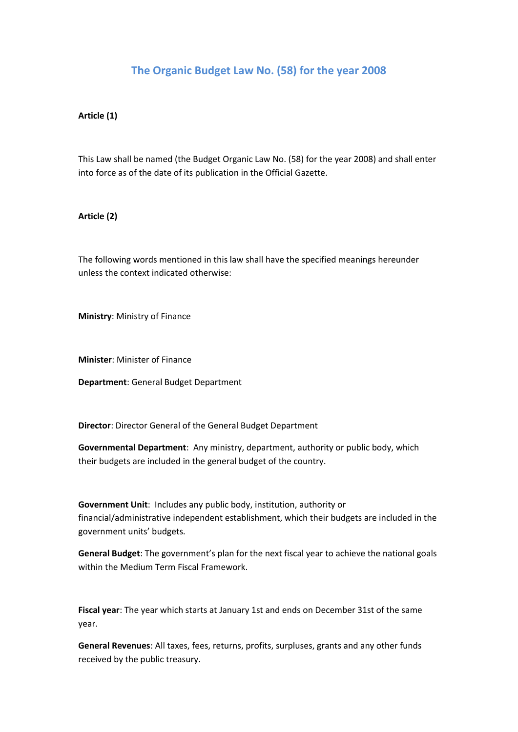# **The Organic Budget Law No. (58) for the year 2008**

### **Article (1)**

This Law shall be named (the Budget Organic Law No. (58) for the year 2008) and shall enter into force as of the date of its publication in the Official Gazette.

## **Article (2)**

The following words mentioned in this law shall have the specified meanings hereunder unless the context indicated otherwise:

**Ministry**: Ministry of Finance

**Minister**: Minister of Finance

**Department**: General Budget Department

**Director**: Director General of the General Budget Department

**Governmental Department**: Any ministry, department, authority or public body, which their budgets are included in the general budget of the country.

**Government Unit**: Includes any public body, institution, authority or financial/administrative independent establishment, which their budgets are included in the government units' budgets.

**General Budget**: The government's plan for the next fiscal year to achieve the national goals within the Medium Term Fiscal Framework.

**Fiscal year**: The year which starts at January 1st and ends on December 31st of the same year.

**General Revenues**: All taxes, fees, returns, profits, surpluses, grants and any other funds received by the public treasury.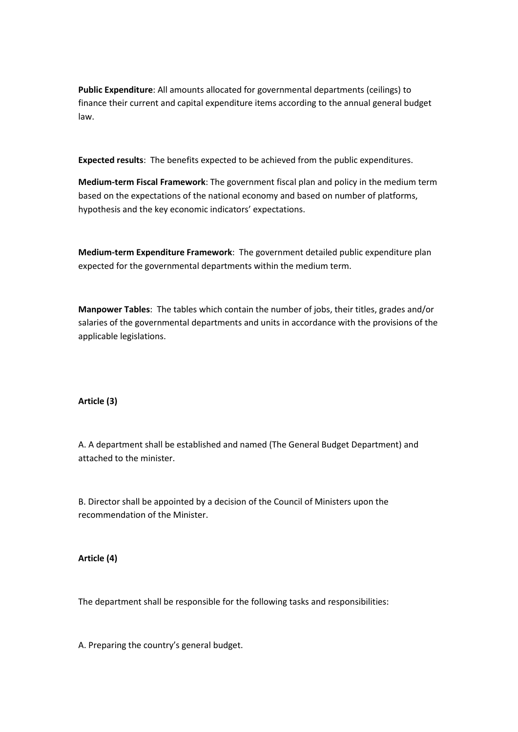**Public Expenditure**: All amounts allocated for governmental departments (ceilings) to finance their current and capital expenditure items according to the annual general budget law.

**Expected results**: The benefits expected to be achieved from the public expenditures.

**Medium-term Fiscal Framework**: The government fiscal plan and policy in the medium term based on the expectations of the national economy and based on number of platforms, hypothesis and the key economic indicators' expectations.

**Medium-term Expenditure Framework**: The government detailed public expenditure plan expected for the governmental departments within the medium term.

**Manpower Tables**: The tables which contain the number of jobs, their titles, grades and/or salaries of the governmental departments and units in accordance with the provisions of the applicable legislations.

# **Article (3)**

A. A department shall be established and named (The General Budget Department) and attached to the minister.

B. Director shall be appointed by a decision of the Council of Ministers upon the recommendation of the Minister.

**Article (4)** 

The department shall be responsible for the following tasks and responsibilities:

A. Preparing the country's general budget.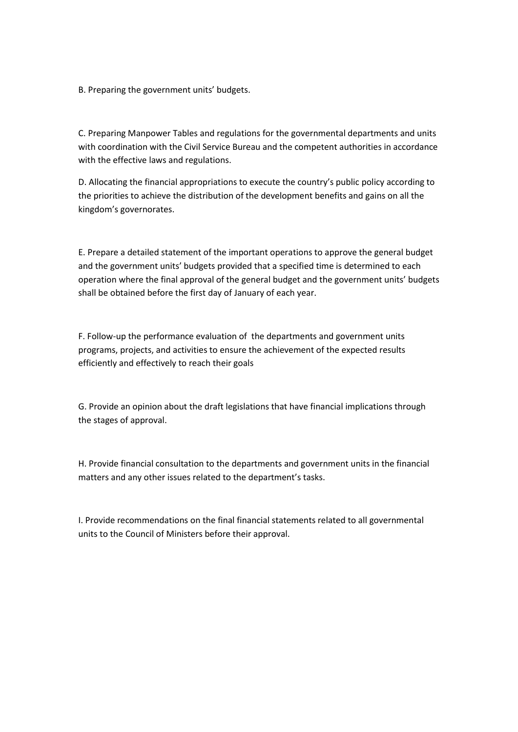B. Preparing the government units' budgets.

C. Preparing Manpower Tables and regulations for the governmental departments and units with coordination with the Civil Service Bureau and the competent authorities in accordance with the effective laws and regulations.

D. Allocating the financial appropriations to execute the country's public policy according to the priorities to achieve the distribution of the development benefits and gains on all the kingdom's governorates.

E. Prepare a detailed statement of the important operations to approve the general budget and the government units' budgets provided that a specified time is determined to each operation where the final approval of the general budget and the government units' budgets shall be obtained before the first day of January of each year.

F. Follow-up the performance evaluation of the departments and government units programs, projects, and activities to ensure the achievement of the expected results efficiently and effectively to reach their goals

G. Provide an opinion about the draft legislations that have financial implications through the stages of approval.

H. Provide financial consultation to the departments and government units in the financial matters and any other issues related to the department's tasks.

I. Provide recommendations on the final financial statements related to all governmental units to the Council of Ministers before their approval.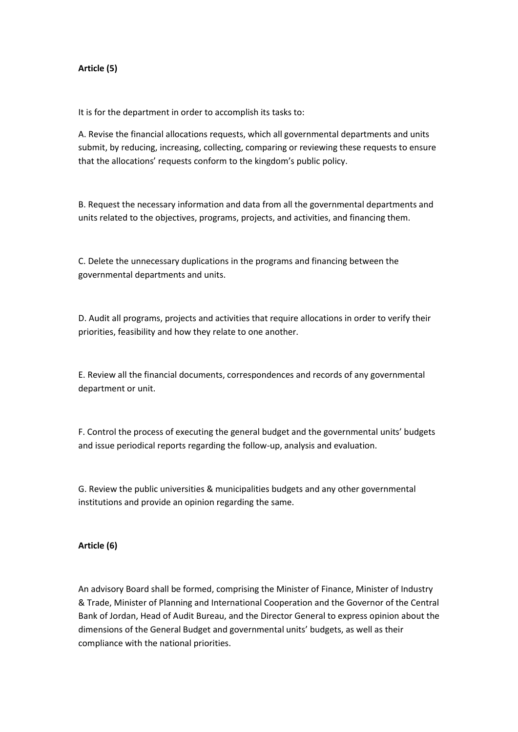#### **Article (5)**

It is for the department in order to accomplish its tasks to:

A. Revise the financial allocations requests, which all governmental departments and units submit, by reducing, increasing, collecting, comparing or reviewing these requests to ensure that the allocations' requests conform to the kingdom's public policy.

B. Request the necessary information and data from all the governmental departments and units related to the objectives, programs, projects, and activities, and financing them.

C. Delete the unnecessary duplications in the programs and financing between the governmental departments and units.

D. Audit all programs, projects and activities that require allocations in order to verify their priorities, feasibility and how they relate to one another.

E. Review all the financial documents, correspondences and records of any governmental department or unit.

F. Control the process of executing the general budget and the governmental units' budgets and issue periodical reports regarding the follow-up, analysis and evaluation.

G. Review the public universities & municipalities budgets and any other governmental institutions and provide an opinion regarding the same.

#### **Article (6)**

An advisory Board shall be formed, comprising the Minister of Finance, Minister of Industry & Trade, Minister of Planning and International Cooperation and the Governor of the Central Bank of Jordan, Head of Audit Bureau, and the Director General to express opinion about the dimensions of the General Budget and governmental units' budgets, as well as their compliance with the national priorities.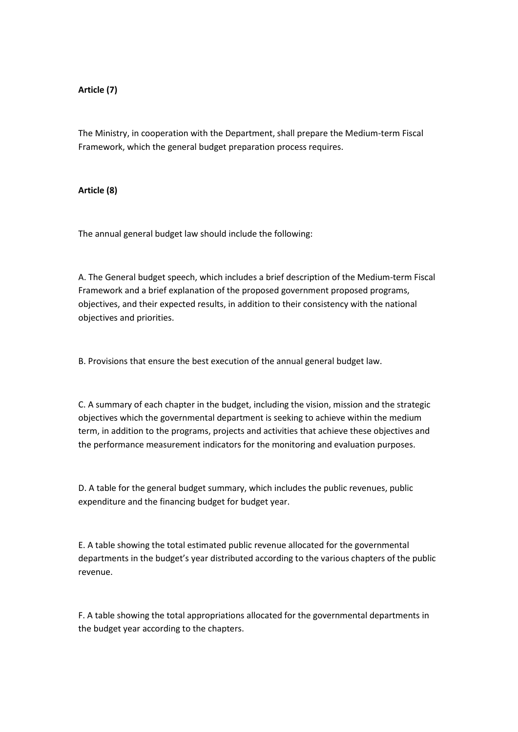## **Article (7)**

The Ministry, in cooperation with the Department, shall prepare the Medium-term Fiscal Framework, which the general budget preparation process requires.

#### **Article (8)**

The annual general budget law should include the following:

A. The General budget speech, which includes a brief description of the Medium-term Fiscal Framework and a brief explanation of the proposed government proposed programs, objectives, and their expected results, in addition to their consistency with the national objectives and priorities.

B. Provisions that ensure the best execution of the annual general budget law.

C. A summary of each chapter in the budget, including the vision, mission and the strategic objectives which the governmental department is seeking to achieve within the medium term, in addition to the programs, projects and activities that achieve these objectives and the performance measurement indicators for the monitoring and evaluation purposes.

D. A table for the general budget summary, which includes the public revenues, public expenditure and the financing budget for budget year.

E. A table showing the total estimated public revenue allocated for the governmental departments in the budget's year distributed according to the various chapters of the public revenue.

F. A table showing the total appropriations allocated for the governmental departments in the budget year according to the chapters.